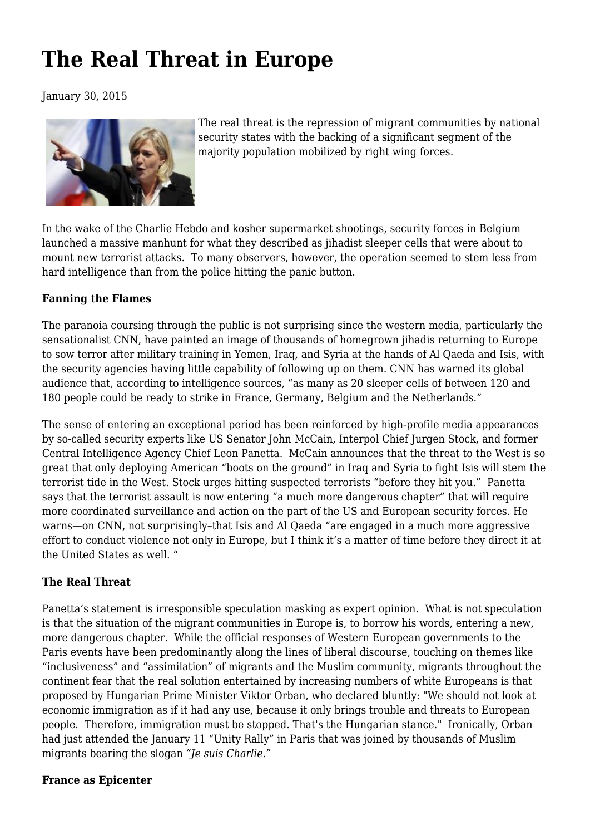# **[The Real Threat in Europe](https://newpol.org/real-threat-europe/)**

January 30, 2015



The real threat is the repression of migrant communities by national security states with the backing of a significant segment of the majority population mobilized by right wing forces.

In the wake of the Charlie Hebdo and kosher supermarket shootings, security forces in Belgium launched a massive manhunt for what they described as jihadist sleeper cells that were about to mount new terrorist attacks. To many observers, however, the operation seemed to stem less from hard intelligence than from the police hitting the panic button.

#### **Fanning the Flames**

The paranoia coursing through the public is not surprising since the western media, particularly the sensationalist CNN, have painted an image of thousands of homegrown jihadis returning to Europe to sow terror after military training in Yemen, Iraq, and Syria at the hands of Al Qaeda and Isis, with the security agencies having little capability of following up on them. CNN has warned its global audience that, according to intelligence sources, "as many as 20 sleeper cells of between 120 and 180 people could be ready to strike in France, Germany, Belgium and the Netherlands."

The sense of entering an exceptional period has been reinforced by high-profile media appearances by so-called security experts like US Senator John McCain, Interpol Chief Jurgen Stock, and former Central Intelligence Agency Chief Leon Panetta. McCain announces that the threat to the West is so great that only deploying American "boots on the ground" in Iraq and Syria to fight Isis will stem the terrorist tide in the West. Stock urges hitting suspected terrorists "before they hit you." Panetta says that the terrorist assault is now entering "a much more dangerous chapter" that will require more coordinated surveillance and action on the part of the US and European security forces. He warns—on CNN, not surprisingly–that Isis and Al Qaeda "are engaged in a much more aggressive effort to conduct violence not only in Europe, but I think it's a matter of time before they direct it at the United States as well. "

#### **The Real Threat**

Panetta's statement is irresponsible speculation masking as expert opinion. What is not speculation is that the situation of the migrant communities in Europe is, to borrow his words, entering a new, more dangerous chapter. While the official responses of Western European governments to the Paris events have been predominantly along the lines of liberal discourse, touching on themes like "inclusiveness" and "assimilation" of migrants and the Muslim community, migrants throughout the continent fear that the real solution entertained by increasing numbers of white Europeans is that proposed by Hungarian Prime Minister Viktor Orban, who declared bluntly: "We should not look at economic immigration as if it had any use, because it only brings trouble and threats to European people. Therefore, immigration must be stopped. That's the Hungarian stance." Ironically, Orban had just attended the January 11 "Unity Rally" in Paris that was joined by thousands of Muslim migrants bearing the slogan *"Je suis Charlie."*

#### **France as Epicenter**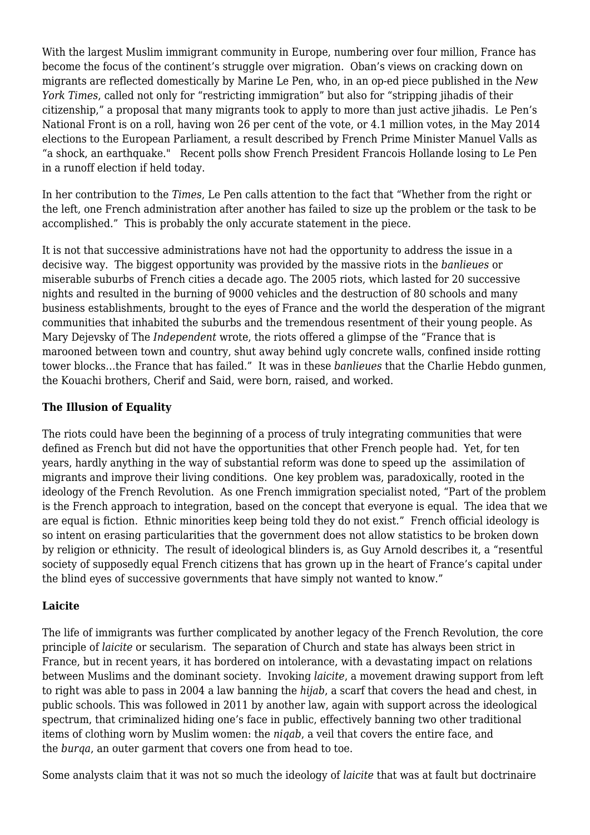With the largest Muslim immigrant community in Europe, numbering over four million, France has become the focus of the continent's struggle over migration. Oban's views on cracking down on migrants are reflected domestically by Marine Le Pen, who, in an op-ed piece published in the *New York Times*, called not only for "restricting immigration" but also for "stripping jihadis of their citizenship," a proposal that many migrants took to apply to more than just active jihadis. Le Pen's National Front is on a roll, having won 26 per cent of the vote, or 4.1 million votes, in the May 2014 elections to the European Parliament, a result described by French Prime Minister Manuel Valls as "a shock, an earthquake." Recent polls show French President Francois Hollande losing to Le Pen in a runoff election if held today.

In her contribution to the *Times*, Le Pen calls attention to the fact that "Whether from the right or the left, one French administration after another has failed to size up the problem or the task to be accomplished." This is probably the only accurate statement in the piece.

It is not that successive administrations have not had the opportunity to address the issue in a decisive way. The biggest opportunity was provided by the massive riots in the *banlieues* or miserable suburbs of French cities a decade ago. The 2005 riots, which lasted for 20 successive nights and resulted in the burning of 9000 vehicles and the destruction of 80 schools and many business establishments, brought to the eyes of France and the world the desperation of the migrant communities that inhabited the suburbs and the tremendous resentment of their young people. As Mary Dejevsky of The *Independent* wrote, the riots offered a glimpse of the "France that is marooned between town and country, shut away behind ugly concrete walls, confined inside rotting tower blocks…the France that has failed." It was in these *banlieues* that the Charlie Hebdo gunmen, the Kouachi brothers, Cherif and Said, were born, raised, and worked.

#### **The Illusion of Equality**

The riots could have been the beginning of a process of truly integrating communities that were defined as French but did not have the opportunities that other French people had. Yet, for ten years, hardly anything in the way of substantial reform was done to speed up the assimilation of migrants and improve their living conditions. One key problem was, paradoxically, rooted in the ideology of the French Revolution. As one French immigration specialist noted, "Part of the problem is the French approach to integration, based on the concept that everyone is equal. The idea that we are equal is fiction. Ethnic minorities keep being told they do not exist." French official ideology is so intent on erasing particularities that the government does not allow statistics to be broken down by religion or ethnicity. The result of ideological blinders is, as Guy Arnold describes it, a "resentful society of supposedly equal French citizens that has grown up in the heart of France's capital under the blind eyes of successive governments that have simply not wanted to know."

#### **Laicite**

The life of immigrants was further complicated by another legacy of the French Revolution, the core principle of *laicite* or secularism. The separation of Church and state has always been strict in France, but in recent years, it has bordered on intolerance, with a devastating impact on relations between Muslims and the dominant society. Invoking *laicite*, a movement drawing support from left to right was able to pass in 2004 a law banning the *hijab*, a scarf that covers the head and chest, in public schools. This was followed in 2011 by another law, again with support across the ideological spectrum, that criminalized hiding one's face in public, effectively banning two other traditional items of clothing worn by Muslim women: the *niqab*, a veil that covers the entire face, and the *burqa*, an outer garment that covers one from head to toe.

Some analysts claim that it was not so much the ideology of *laicite* that was at fault but doctrinaire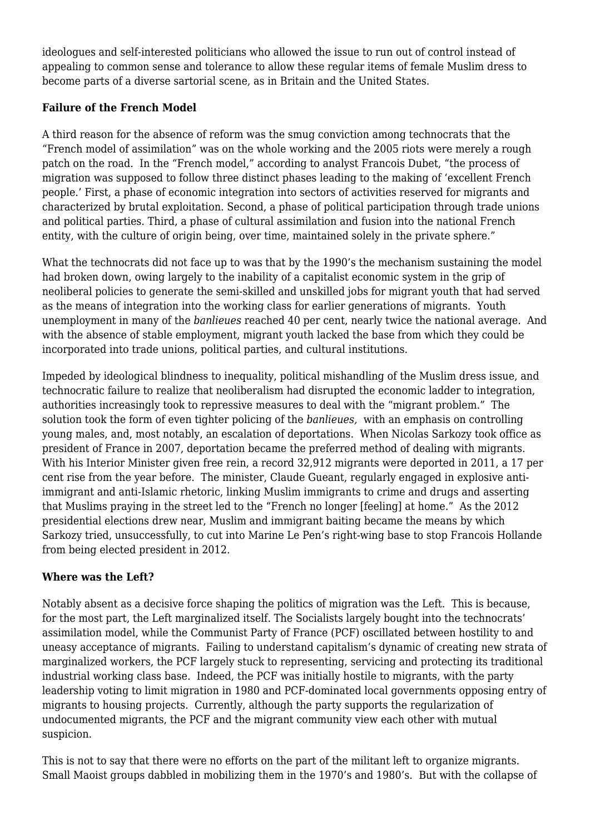ideologues and self-interested politicians who allowed the issue to run out of control instead of appealing to common sense and tolerance to allow these regular items of female Muslim dress to become parts of a diverse sartorial scene, as in Britain and the United States.

### **Failure of the French Model**

A third reason for the absence of reform was the smug conviction among technocrats that the "French model of assimilation" was on the whole working and the 2005 riots were merely a rough patch on the road. In the "French model," according to analyst Francois Dubet, "the process of migration was supposed to follow three distinct phases leading to the making of 'excellent French people.' First, a phase of economic integration into sectors of activities reserved for migrants and characterized by brutal exploitation. Second, a phase of political participation through trade unions and political parties. Third, a phase of cultural assimilation and fusion into the national French entity, with the culture of origin being, over time, maintained solely in the private sphere."

What the technocrats did not face up to was that by the 1990's the mechanism sustaining the model had broken down, owing largely to the inability of a capitalist economic system in the grip of neoliberal policies to generate the semi-skilled and unskilled jobs for migrant youth that had served as the means of integration into the working class for earlier generations of migrants. Youth unemployment in many of the *banlieues* reached 40 per cent, nearly twice the national average. And with the absence of stable employment, migrant youth lacked the base from which they could be incorporated into trade unions, political parties, and cultural institutions.

Impeded by ideological blindness to inequality, political mishandling of the Muslim dress issue, and technocratic failure to realize that neoliberalism had disrupted the economic ladder to integration, authorities increasingly took to repressive measures to deal with the "migrant problem." The solution took the form of even tighter policing of the *banlieues,* with an emphasis on controlling young males, and, most notably, an escalation of deportations. When Nicolas Sarkozy took office as president of France in 2007, deportation became the preferred method of dealing with migrants. With his Interior Minister given free rein, a record 32,912 migrants were deported in 2011, a 17 per cent rise from the year before. The minister, Claude Gueant, regularly engaged in explosive antiimmigrant and anti-Islamic rhetoric, linking Muslim immigrants to crime and drugs and asserting that Muslims praying in the street led to the "French no longer [feeling] at home." As the 2012 presidential elections drew near, Muslim and immigrant baiting became the means by which Sarkozy tried, unsuccessfully, to cut into Marine Le Pen's right-wing base to stop Francois Hollande from being elected president in 2012.

## **Where was the Left?**

Notably absent as a decisive force shaping the politics of migration was the Left. This is because, for the most part, the Left marginalized itself. The Socialists largely bought into the technocrats' assimilation model, while the Communist Party of France (PCF) oscillated between hostility to and uneasy acceptance of migrants. Failing to understand capitalism's dynamic of creating new strata of marginalized workers, the PCF largely stuck to representing, servicing and protecting its traditional industrial working class base. Indeed, the PCF was initially hostile to migrants, with the party leadership voting to limit migration in 1980 and PCF-dominated local governments opposing entry of migrants to housing projects. Currently, although the party supports the regularization of undocumented migrants, the PCF and the migrant community view each other with mutual suspicion.

This is not to say that there were no efforts on the part of the militant left to organize migrants. Small Maoist groups dabbled in mobilizing them in the 1970's and 1980's. But with the collapse of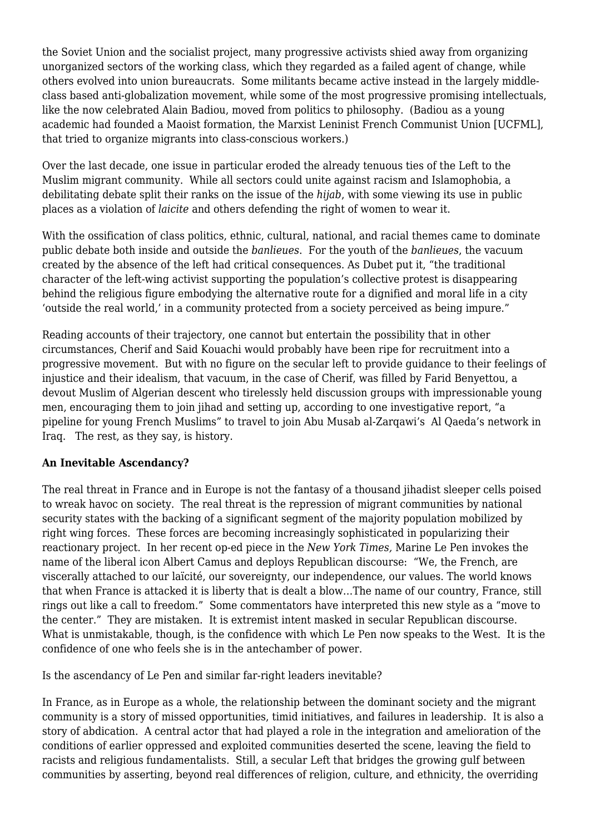the Soviet Union and the socialist project, many progressive activists shied away from organizing unorganized sectors of the working class, which they regarded as a failed agent of change, while others evolved into union bureaucrats. Some militants became active instead in the largely middleclass based anti-globalization movement, while some of the most progressive promising intellectuals, like the now celebrated Alain Badiou, moved from politics to philosophy. (Badiou as a young academic had founded a Maoist formation, the Marxist Leninist French Communist Union [UCFML], that tried to organize migrants into class-conscious workers.)

Over the last decade, one issue in particular eroded the already tenuous ties of the Left to the Muslim migrant community. While all sectors could unite against racism and Islamophobia, a debilitating debate split their ranks on the issue of the *hijab*, with some viewing its use in public places as a violation of *laicite* and others defending the right of women to wear it.

With the ossification of class politics, ethnic, cultural, national, and racial themes came to dominate public debate both inside and outside the *banlieues*. For the youth of the *banlieues*, the vacuum created by the absence of the left had critical consequences. As Dubet put it, "the traditional character of the left-wing activist supporting the population's collective protest is disappearing behind the religious figure embodying the alternative route for a dignified and moral life in a city 'outside the real world,' in a community protected from a society perceived as being impure."

Reading accounts of their trajectory, one cannot but entertain the possibility that in other circumstances, Cherif and Said Kouachi would probably have been ripe for recruitment into a progressive movement. But with no figure on the secular left to provide guidance to their feelings of injustice and their idealism, that vacuum, in the case of Cherif, was filled by Farid Benyettou, a devout Muslim of Algerian descent who tirelessly held discussion groups with impressionable young men, encouraging them to join jihad and setting up, according to one investigative report, "a pipeline for young French Muslims" to travel to join Abu Musab al-Zarqawi's Al Qaeda's network in Iraq. The rest, as they say, is history.

#### **An Inevitable Ascendancy?**

The real threat in France and in Europe is not the fantasy of a thousand jihadist sleeper cells poised to wreak havoc on society. The real threat is the repression of migrant communities by national security states with the backing of a significant segment of the majority population mobilized by right wing forces. These forces are becoming increasingly sophisticated in popularizing their reactionary project. In her recent op-ed piece in the *New York Times,* Marine Le Pen invokes the name of the liberal icon Albert Camus and deploys Republican discourse: "We, the French, are viscerally attached to our laïcité, our sovereignty, our independence, our values. The world knows that when France is attacked it is liberty that is dealt a blow…The name of our country, France, still rings out like a call to freedom." Some commentators have interpreted this new style as a "move to the center." They are mistaken. It is extremist intent masked in secular Republican discourse. What is unmistakable, though, is the confidence with which Le Pen now speaks to the West. It is the confidence of one who feels she is in the antechamber of power.

Is the ascendancy of Le Pen and similar far-right leaders inevitable?

In France, as in Europe as a whole, the relationship between the dominant society and the migrant community is a story of missed opportunities, timid initiatives, and failures in leadership. It is also a story of abdication. A central actor that had played a role in the integration and amelioration of the conditions of earlier oppressed and exploited communities deserted the scene, leaving the field to racists and religious fundamentalists. Still, a secular Left that bridges the growing gulf between communities by asserting, beyond real differences of religion, culture, and ethnicity, the overriding